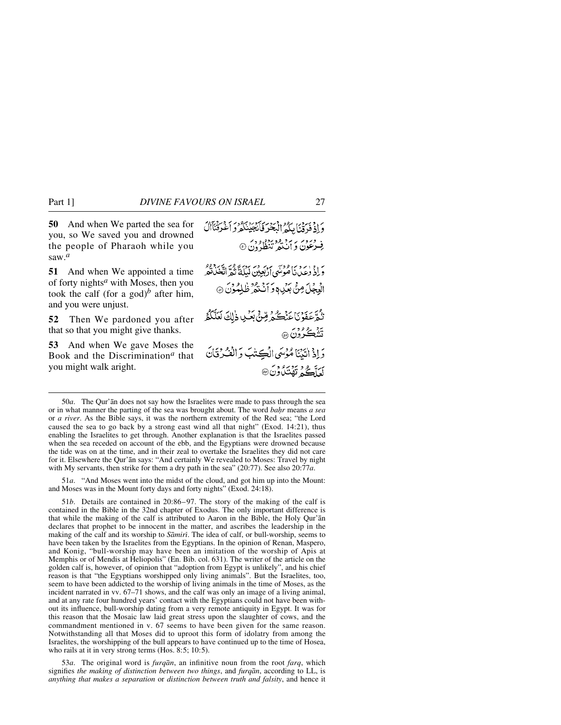**50** And when We parted the sea for you, so We saved you and drowned the people of Pharaoh while you saw.*<sup>a</sup>*

**51** And when We appointed a time of forty nights*<sup>a</sup>* with Moses, then you took the calf (for a god)<sup>*b*</sup> after him, and you were unjust.

**52** Then We pardoned you after that so that you might give thanks.

**53** And when We gave Moses the Book and the Discrimination*<sup>a</sup>* that you might walk aright.

وَإِذْ فَدِقْنَا مِكْمُ الْبَحْرَ فَأَنْجَيْنَكُمْ وَأَغْرَقْنَأَالَ و درور بربرد ود برود.<br>فِرْعُونَ دِ اَنْتُعْهِ تَنْظُرُونَ ۞ وَ إِذْ وٰعِدِنَا مُؤْتَى بِرَبِّهِ مِنْ بِدَبِّهِ وَلَا يَجْهِدُهُ مِنْ ا الْعِجْلَ مِنْ بِعَيْدِدٍ وَ أَنَكْثَرُ ظَلِمُوْنَ ۞ تْبْقّْحَفَوْنَاحَنْكُمْ قِنْ بَعْبِ ذٰلِكَ لَعَلَّكُمُ تَشْڪُرُوْنَ۞ دَاذُ اتَنَاهُ مُؤْسَى الْكِتْبَ وَالْفُرْقَانَ لَعَلَّكُمُ تَهُنَدُ<sub>ل</sub>ُونَ®

50*a*. The Qur'ån does not say how the Israelites were made to pass through the sea or in what manner the parting of the sea was brought about. The word *ba√r* means *a sea* or *a river*. As the Bible says, it was the northern extremity of the Red sea; "the Lord caused the sea to go back by a strong east wind all that night" (Exod. 14:21), thus enabling the Israelites to get through. Another explanation is that the Israelites passed when the sea receded on account of the ebb, and the Egyptians were drowned because the tide was on at the time, and in their zeal to overtake the Israelites they did not care for it. Elsewhere the Qur'ån says: "And certainly We revealed to Moses: Travel by night with My servants, then strike for them a dry path in the sea" (20:77). See also 20:77*a*.

51*a*. "And Moses went into the midst of the cloud, and got him up into the Mount: and Moses was in the Mount forty days and forty nights" (Exod. 24:18).

51*b*. Details are contained in 20:86–97. The story of the making of the calf is contained in the Bible in the 32nd chapter of Exodus. The only important difference is that while the making of the calf is attributed to Aaron in the Bible, the Holy Qur'ån declares that prophet to be innocent in the matter, and ascribes the leadership in the making of the calf and its worship to *Sāmiri*. The idea of calf, or bull-worship, seems to have been taken by the Israelites from the Egyptians. In the opinion of Renan, Maspero, and Konig, "bull-worship may have been an imitation of the worship of Apis at Memphis or of Mendis at Heliopolis" (En. Bib. col. 631). The writer of the article on the golden calf is, however, of opinion that "adoption from Egypt is unlikely", and his chief reason is that "the Egyptians worshipped only living animals". But the Israelites, too, seem to have been addicted to the worship of living animals in the time of Moses, as the incident narrated in vv. 67–71 shows, and the calf was only an image of a living animal, and at any rate four hundred years' contact with the Egyptians could not have been without its influence, bull-worship dating from a very remote antiquity in Egypt. It was for this reason that the Mosaic law laid great stress upon the slaughter of cows, and the commandment mentioned in v. 67 seems to have been given for the same reason. Notwithstanding all that Moses did to uproot this form of idolatry from among the Israelites, the worshipping of the bull appears to have continued up to the time of Hosea, who rails at it in very strong terms (Hos. 8:5; 10:5).

53*a*. The original word is *furqån*, an infinitive noun from the root *farq*, which signifies *the making of distinction between two things*, and *furqån*, according to LL, is *anything that makes a separation* or *distinction between truth and falsity*, and hence it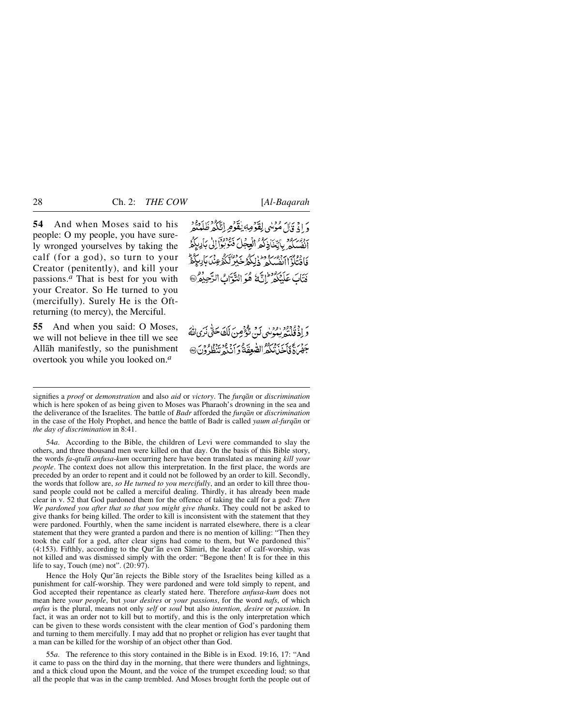**54** And when Moses said to his people: O my people, you have surely wronged yourselves by taking the calf (for a god), so turn to your Creator (penitently), and kill your passions.*<sup>a</sup>* That is best for you with your Creator. So He turned to you (mercifully). Surely He is the Oftreturning (to mercy), the Merciful.

**55** And when you said: O Moses, we will not believe in thee till we see Allåh manifestly, so the punishment overtook you while you looked on.*<sup>a</sup>*

وَإِذْ قَالَ مُؤْمِنُهِي لِقَوْمِهِ يُقَوْمِ إِنَّكُمْ ظَلَمْتُمْ .<br>اَنْفُسَلَّكُمْ بِأَنِّغَاَذِكُمُّ الْعِجَلَ فَنُوْبُوْا إِلَىٰ بِأَلِيلِكُمُّ فَافْتِلْوَۤاابِقْسِكُمْ ۖ ذٰلِكُمْ خَدْنَهُمْ كَيْرَ لَكُمْ عِنۡدَ بَالِبِكُمۡمُّ فَتَابَ عَلَيْكُمْ ۖ إِنَّ لَهُ وَالتَّوَّابُ الرَّحِيدُ  $\odot$ 

رَ دِوْنُدْيُوْرِيْدِيْوَسْيِ لَنِّ تَوْعُ صِنَ لَكَ حَتَّى نَزِي اللَّهَ جَهْرَاةً فَأَخَذَتْنَكُمُّ الصَّعِقَةُ وَ أَنَّذَهُ تَنْظُرُونَ۞

signifies a *proof* or *demonstration* and also *aid* or *victory*. The *furqån* or *discrimination* which is here spoken of as being given to Moses was Pharaoh's drowning in the sea and the deliverance of the Israelites. The battle of *Badr* afforded the *furqån* or *discrimination* in the case of the Holy Prophet, and hence the battle of Badr is called *yaum al-furqån* or *the day of discrimination* in 8:41.

54*a*. According to the Bible, the children of Levi were commanded to slay the others, and three thousand men were killed on that day. On the basis of this Bible story, the words *fa-qtul∂ anfusa-kum* occurring here have been translated as meaning *kill your people*. The context does not allow this interpretation. In the first place, the words are preceded by an order to repent and it could not be followed by an order to kill. Secondly, the words that follow are, *so He turned to you mercifully*, and an order to kill three thousand people could not be called a merciful dealing. Thirdly, it has already been made clear in v. 52 that God pardoned them for the offence of taking the calf for a god: *Then We pardoned you after that so that you might give thanks*. They could not be asked to give thanks for being killed. The order to kill is inconsistent with the statement that they were pardoned. Fourthly, when the same incident is narrated elsewhere, there is a clear statement that they were granted a pardon and there is no mention of killing: "Then they took the calf for a god, after clear signs had come to them, but We pardoned this"  $(4:153)$ . Fifthly, according to the Qur'an even Samiri, the leader of calf-worship, was not killed and was dismissed simply with the order: "Begone then! It is for thee in this life to say, Touch (me) not".  $(20:97)$ .

Hence the Holy Qur'ån rejects the Bible story of the Israelites being killed as a punishment for calf-worship. They were pardoned and were told simply to repent, and God accepted their repentance as clearly stated here. Therefore *anfusa-kum* does not mean here *your people*, but *your desires* or *your passions*, for the word *nafs*, of which *anfus* is the plural, means not only *self* or *soul* but also *intention, desire* or *passion*. In fact, it was an order not to kill but to mortify, and this is the only interpretation which can be given to these words consistent with the clear mention of God's pardoning them and turning to them mercifully. I may add that no prophet or religion has ever taught that a man can be killed for the worship of an object other than God.

55*a*. The reference to this story contained in the Bible is in Exod. 19:16, 17: "And it came to pass on the third day in the morning, that there were thunders and lightnings, and a thick cloud upon the Mount, and the voice of the trumpet exceeding loud; so that all the people that was in the camp trembled. And Moses brought forth the people out of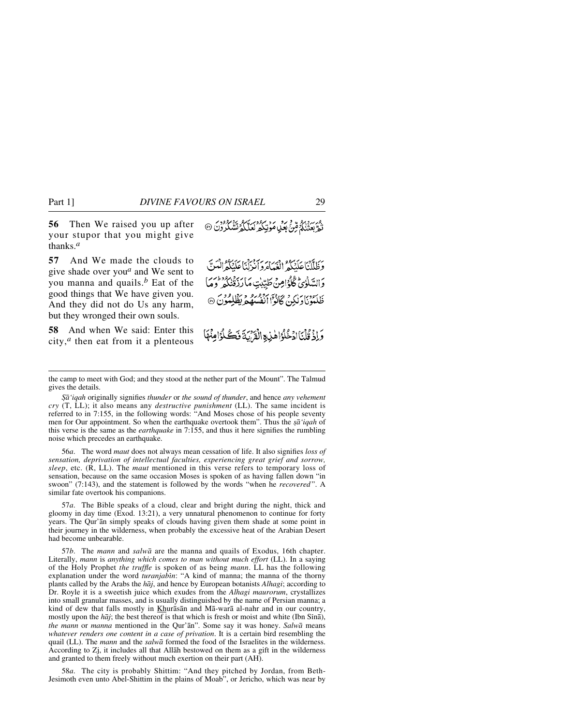**56** Then We raised you up after your stupor that you might give thanks.*<sup>a</sup>*

**57** And We made the clouds to give shade over you*<sup>a</sup>* and We sent to you manna and quails.*<sup>b</sup>* Eat of the good things that We have given you. And they did not do Us any harm, but they wronged their own souls.

**58** And when We said: Enter this city,*<sup>a</sup>* then eat from it a plenteous

وَظَلَّلْنَاعَلَنَكُمُ الْغِيَامُ وَأَنْزَلْنَاعَلَنَكُمُ الْمَنَّ وَالسَّلْوٰيُّ ݣْلْوُامِنْ طَيَّيْتِ مَا رَبِّهُ بِيُرْدِينِ وَالْمَرْقَانِي ظَلَّمُوْيَاوَنْكِنْ كَانُوْاً الْفُسَهُمَّ يَظْلِمُوْنَ ۞

وَإِذْ قُلْنَا ادْخُلُوْ اهْذِهِ الْقَرْبَةَ فَكُلُوَّامِنْهَا

56*a*. The word *maut* does not always mean cessation of life. It also signifies *loss of sensation, deprivation of intellectual faculties, experiencing great grief and sorrow, sleep*, etc. (R, LL). The *maut* mentioned in this verse refers to temporary loss of sensation, because on the same occasion Moses is spoken of as having fallen down "in swoon" (7:143), and the statement is followed by the words "when he *recovered* ". A similar fate overtook his companions.

57*a*. The Bible speaks of a cloud, clear and bright during the night, thick and gloomy in day time (Exod. 13:21), a very unnatural phenomenon to continue for forty years. The Qur'ån simply speaks of clouds having given them shade at some point in their journey in the wilderness, when probably the excessive heat of the Arabian Desert had become unbearable.

57*b*. The *mann* and *salwå* are the manna and quails of Exodus, 16th chapter. Literally, *mann* is *anything which comes to man without much effort* (LL). In a saying of the Holy Prophet *the truffle* is spoken of as being *mann*. LL has the following explanation under the word *turanjabin*: "A kind of manna; the manna of the thorny plants called by the Arabs the *håj*, and hence by European botanists *Alhagi*; according to Dr. Royle it is a sweetish juice which exudes from the *Alhagi maurorum*, crystallizes into small granular masses, and is usually distinguished by the name of Persian manna; a kind of dew that falls mostly in Khuråsån and Må-warå al-nahr and in our country, mostly upon the *hāj*; the best thereof is that which is fresh or moist and white (Ibn Sinā), *the mann* or *manna* mentioned in the Qur'ån". Some say it was honey. *Salwå* means *whatever renders one content in a case of privation*. It is a certain bird resembling the quail (LL). The *mann* and the *salwå* formed the food of the Israelites in the wilderness. According to Zj, it includes all that Allåh bestowed on them as a gift in the wilderness and granted to them freely without much exertion on their part (AH).

58*a*. The city is probably Shittim: "And they pitched by Jordan, from Beth-Jesimoth even unto Abel-Shittim in the plains of Moab", or Jericho, which was near by

دى.<br>نَعْ بَعِثْنَكُمُ مِّنْ بَعَلِ مَوْنِكُمْ لَعَلَّكُمُ تَشْكُرُوْنَ ۞

the camp to meet with God; and they stood at the nether part of the Mount". The Talmud gives the details.

*<sup>˝</sup>å'iqah* originally signifies *thunder* or *the sound of thunder*, and hence *any vehement cry* (T, LL); it also means any *destructive punishment* (LL). The same incident is referred to in 7:155, in the following words: "And Moses chose of his people seventy men for Our appointment. So when the earthquake overtook them". Thus the *sa* 'iqah of this verse is the same as the *earthquake* in 7:155, and thus it here signifies the rumbling noise which precedes an earthquake.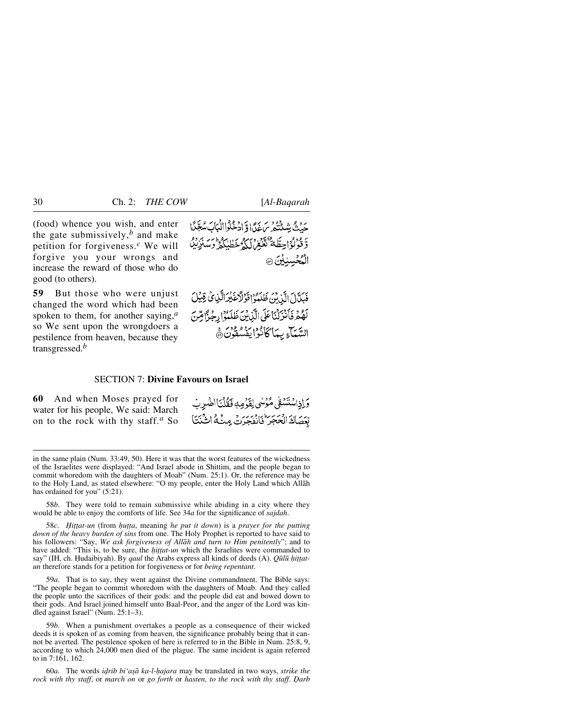(food) whence you wish, and enter the gate submissively, $<sup>b</sup>$  and make</sup> petition for forgiveness.*<sup>c</sup>* We will forgive you your wrongs and increase the reward of those who do good (to others).

**59** But those who were unjust changed the word which had been spoken to them, for another saying,*<sup>a</sup>* so We sent upon the wrongdoers a pestilence from heaven, because they transgressed.*<sup>b</sup>*

حَدْثُ شِيثَتُهُ مِنْ غَدًّا وَّ ادْخُلُواالْبَابَ سُعِّنًا وَقُوۡلُوۡاۡحِطَّةٌ تَعۡفُوۡ)َلَٰٓ ۡ خَطَٰبٰٓلَٰٓ وَسَدِّ الْهُجُسِنِيْنَ @

فَبَلَّالَ الَّذِينَ ظَلَّمُوْ اقْوَلَا غَيْرَ الَّذِي فِيْلَ لَهُمْ فَأَنْزِلْنَا عَلَى الَّذِينَ ظَلَّمُ إِجْزًا مِّنَ السَّيَآءِ بِيَمَا كَأْنُوا يَفْسُقُونَ۞

# SECTION 7: **Divine Favours on Israel**

**60** And when Moses prayed for water for his people, We said: March on to the rock with thy staff.*<sup>a</sup>* So

وَإِذِاسْتَسْفَىٰ مُؤْسَىٰ لِقَوْمِهِ فَقُلْنَااخْبِرِبْ بِّعَصَاكَ الْحَجَرَ فَانْفَجَرَتْ مِنْهُ اتْنَتَنَا

58*b*. They were told to remain submissive while abiding in a city where they would be able to enjoy the comforts of life. See 34*a* for the significance of *sajdah*.

58*c*. *Ïi∆∆at-un* (from *√u∆∆a*, meaning *he put it down*) is a *prayer for the putting down of the heavy burden of sins* from one. The Holy Prophet is reported to have said to his followers: "Say, *We ask forgiveness of Allåh and turn to Him penitently*"; and to have added: "This is, to be sure, the *hittat-un* which the Israelites were commanded to say" (IH, ch. Hudaibiyah). By *qaul* the Arabs express all kinds of deeds (A). *Qūlū hittatun* therefore stands for a petition for forgiveness or for *being repentant*.

59*a*. That is to say, they went against the Divine commandment. The Bible says: "The people began to commit whoredom with the daughters of Moab. And they called the people unto the sacrifices of their gods: and the people did eat and bowed down to their gods. And Israel joined himself unto Baal-Peor, and the anger of the Lord was kindled against Israel" (Num. 25:1–3).

59*b*. When a punishment overtakes a people as a consequence of their wicked deeds it is spoken of as coming from heaven, the significance probably being that it cannot be averted. The pestilence spoken of here is referred to in the Bible in Num. 25:8, 9, according to which 24,000 men died of the plague. The same incident is again referred to in 7:161, 162.

60*a*. The words *idrib bi'asā ka-l-hajara* may be translated in two ways, *strike the rock with thy staff*, or *march on* or *go forth* or *hasten, to the rock with thy staff*. *Óarb*

in the same plain (Num. 33:49, 50). Here it was that the worst features of the wickedness of the Israelites were displayed: "And Israel abode in Shittim, and the people began to commit whoredom with the daughters of Moab" (Num. 25:1). Or, the reference may be to the Holy Land, as stated elsewhere: "O my people, enter the Holy Land which Allåh has ordained for you" (5:21).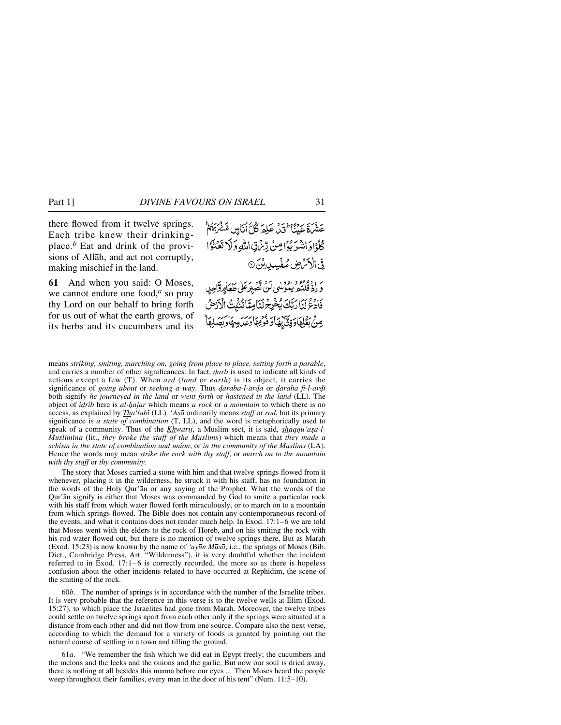there flowed from it twelve springs. Each tribe knew their drinkingplace.*<sup>b</sup>* Eat and drink of the provisions of Allåh, and act not corruptly, making mischief in the land.

**61** And when you said: O Moses, we cannot endure one food,*<sup>a</sup>* so pray thy Lord on our behalf to bring forth for us out of what the earth grows, of its herbs and its cucumbers and its

عَشْرَةَ عَنْنَا ۚ فَيْنَ عَلِمَ كُلُّ أَنَاسٍ مَّنْتُرَبِّهُمْ كُلُوْادَ اشْرَبُوْا مِنْ رِّسْ قِ اللَّهِ وَلَا تَعَنْوَا فِي الْأَمْرَضِ مُفْسِدِينَ ۞ ر ۱۶۹۶ در دور<br>و اذ قلته یموسی تن تصبر علی طعاورواجر با فَأَدْعُ بَنَا رَبَّكَ يُخْرِجُ لَنَامِيًّا نُنْثُمِتُ الْأَرْضُ مِنْ بِقَلِهَادِ بَيْنَ بِهَاءِ قَوْمِهَا وَعَدِيهِ بِإِسْرِ

The story that Moses carried a stone with him and that twelve springs flowed from it whenever, placing it in the wilderness, he struck it with his staff, has no foundation in the words of the Holy Qur'ån or any saying of the Prophet. What the words of the Qur'ån signify is either that Moses was commanded by God to smite a particular rock with his staff from which water flowed forth miraculously, or to march on to a mountain from which springs flowed. The Bible does not contain any contemporaneous record of the events, and what it contains does not render much help. In Exod. 17:1–6 we are told that Moses went with the elders to the rock of Horeb, and on his smiting the rock with his rod water flowed out, but there is no mention of twelve springs there. But as Marah (Exod. 15:23) is now known by the name of *'uy∂n M∂så*, i.e., the springs of Moses (Bib. Dict., Cambridge Press, Art. "Wilderness"), it is very doubtful whether the incident referred to in Exod. 17:1–6 is correctly recorded, the more so as there is hopeless confusion about the other incidents related to have occurred at Rephidim, the scene of the smiting of the rock.

60*b*. The number of springs is in accordance with the number of the Israelite tribes. It is very probable that the reference in this verse is to the twelve wells at Elim (Exod. 15:27), to which place the Israelites had gone from Marah. Moreover, the twelve tribes could settle on twelve springs apart from each other only if the springs were situated at a distance from each other and did not flow from one source. Compare also the next verse, according to which the demand for a variety of foods is granted by pointing out the natural course of settling in a town and tilling the ground.

61*a*. "We remember the fish which we did eat in Egypt freely; the cucumbers and the melons and the leeks and the onions and the garlic. But now our soul is dried away, there is nothing at all besides this manna before our eyes ... Then Moses heard the people weep throughout their families, every man in the door of his tent" (Num. 11:5–10).

means *striking, smiting, marching on, going from place to place, setting forth a parable*, and carries a number of other significances. In fact, *darb* is used to indicate all kinds of actions except a few (T). When *ard* (*land* or *earth*) is its object, it carries the significance of *going about* or *seeking a way*. Thus *daraba-l-arda* or *daraba fi-l-ardi* both signify *he journeyed in the land* or *went forth* or *hastened in the land* (LL). The object of *i˙rib* here is *al-√ajar* which means *a rock* or *a mountain* to which there is no access, as explained by *Tha'labī* (LL). '*Aşā* ordinarily means *staff* or *rod*, but its primary significance is *a state of combination* (T, LL), and the word is metaphorically used to speak of a community. Thus of the *Khwārij*, a Muslim sect, it is said, *shaqqū'asa-l-Muslimßna* (lit., *they broke the staff of the Muslims*) which means that *they made a schism in the state of combination and union*, or *in the community of the Muslims* (LA). Hence the words may mean *strike the rock with thy staff*, or *march on to the mountain with thy staff* or *thy community*.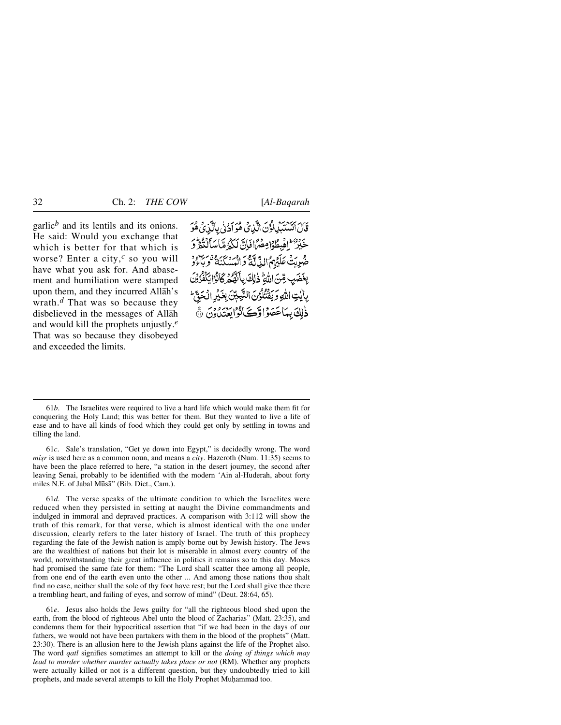garlic<sup> $b$ </sup> and its lentils and its onions. He said: Would you exchange that which is better for that which is worse? Enter a city,*<sup>c</sup>* so you will have what you ask for. And abasement and humiliation were stamped upon them, and they incurred Allåh's wrath.*<sup>d</sup>* That was so because they disbelieved in the messages of Allåh and would kill the prophets unjustly.*<sup>e</sup>* That was so because they disobeyed and exceeded the limits.

قَالَ ٱتَسْتَبَلِّلُوْنَ الَّذِيْ هُوَ أَدْنَٰى بِالَّذِيُ هُوَ خَيْرٌ ۖ إِهْبِطُوْامِصْرًا فَإِنَّ لَكُمْ مَّاسَأَلْنُغُرٍّ وَ صُرِيَّتْ عَلَيْهِمُ اللَّهِ لَا يَوْمَ ابْسَدْنَيَّةٌ وَبَاءُوْ بِعَضَبِ مِّنَ اللَّهِ ذَٰلِكَ بِأَنَّهُكُمْ كَانُوْا يَكْفُرُوْنَ بِإِيْتِ اللَّهِ وَيَقْتُلُوُنَ التَّبِيبِّنَ بِغَيْرِ الْحَقِّّ ذْلِكَ بِمَاعَصَوْا وَّكَانُوْايَعْتَدُونَ ﴾

61*c*. Sale's translation, "Get ye down into Egypt," is decidedly wrong. The word *misr* is used here as a common noun, and means a *city*. Hazeroth (Num. 11:35) seems to have been the place referred to here, "a station in the desert journey, the second after leaving Senai, probably to be identified with the modern 'Ain al-Huderah, about forty miles N.E. of Jabal Mūsā" (Bib. Dict., Cam.).

61*d*. The verse speaks of the ultimate condition to which the Israelites were reduced when they persisted in setting at naught the Divine commandments and indulged in immoral and depraved practices. A comparison with 3:112 will show the truth of this remark, for that verse, which is almost identical with the one under discussion, clearly refers to the later history of Israel. The truth of this prophecy regarding the fate of the Jewish nation is amply borne out by Jewish history. The Jews are the wealthiest of nations but their lot is miserable in almost every country of the world, notwithstanding their great influence in politics it remains so to this day. Moses had promised the same fate for them: "The Lord shall scatter thee among all people, from one end of the earth even unto the other ... And among those nations thou shalt find no ease, neither shall the sole of thy foot have rest; but the Lord shall give thee there a trembling heart, and failing of eyes, and sorrow of mind" (Deut. 28:64, 65).

61*e*. Jesus also holds the Jews guilty for "all the righteous blood shed upon the earth, from the blood of righteous Abel unto the blood of Zacharias" (Matt. 23:35), and condemns them for their hypocritical assertion that "if we had been in the days of our fathers, we would not have been partakers with them in the blood of the prophets" (Matt. 23:30). There is an allusion here to the Jewish plans against the life of the Prophet also. The word *qatl* signifies sometimes an attempt to kill or the *doing of things which may lead to murder whether murder actually takes place or not* (RM). Whether any prophets were actually killed or not is a different question, but they undoubtedly tried to kill prophets, and made several attempts to kill the Holy Prophet Muhammad too.

<sup>61</sup>*b*. The Israelites were required to live a hard life which would make them fit for conquering the Holy Land; this was better for them. But they wanted to live a life of ease and to have all kinds of food which they could get only by settling in towns and tilling the land.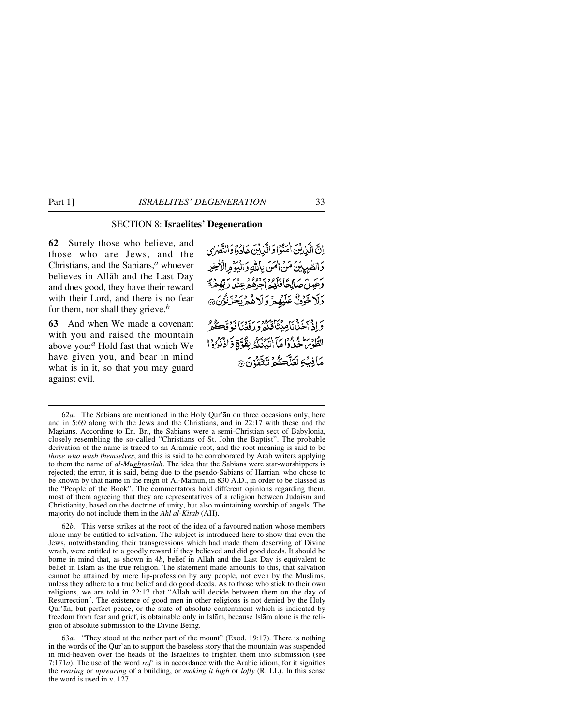# SECTION 8: **Israelites' Degeneration**

**62** Surely those who believe, and those who are Jews, and the Christians, and the Sabians,*<sup>a</sup>* whoever believes in Allåh and the Last Day and does good, they have their reward with their Lord, and there is no fear for them, nor shall they grieve.*<sup>b</sup>*

**63** And when We made a covenant with you and raised the mountain above you:*<sup>a</sup>* Hold fast that which We have given you, and bear in mind what is in it, so that you may guard against evil.

إِنَّ الَّذِينَ اٰمَنُوۡاوَالَّذِينَ هَاٰدُوۡاوَالنَّصٰرٰى دَالصّْبِيلِيْنَ مَنْ اٰمَنَ بِإِللَّهِ وَالْبَوَّ مِرالْأَخِيرِ وَعَيِيلَ صَالِحًا فَلَهُمْ أَجِرْهُمْ عِنْدَ رَبِّهِمْ مَّ وَلَا خَوُفٌ عَلَيْهِمْ وَلَاهُمْ بَحْزَنُوْنَ® بْرَافِيسْ أَحْدُنَا مِينَاتِكُمْ وَرَفَعَنَا فَوَقَعَتُكُمْ الطُّوْسَ خَنْدُوا مَآ اٰتَيۡنَٰكُمۡ بِقُوَّةٍ وَّاٰذُكُرُوْاْ مَافِيۡهِ لَعَلَّڪُمۡ تَتَّقَدُّنَ ۞

62*b*. This verse strikes at the root of the idea of a favoured nation whose members alone may be entitled to salvation. The subject is introduced here to show that even the Jews, notwithstanding their transgressions which had made them deserving of Divine wrath, were entitled to a goodly reward if they believed and did good deeds. It should be borne in mind that, as shown in 4*b*, belief in Allåh and the Last Day is equivalent to belief in Islåm as the true religion. The statement made amounts to this, that salvation cannot be attained by mere lip-profession by any people, not even by the Muslims, unless they adhere to a true belief and do good deeds. As to those who stick to their own religions, we are told in 22:17 that "Allåh will decide between them on the day of Resurrection". The existence of good men in other religions is not denied by the Holy Qur'ån, but perfect peace, or the state of absolute contentment which is indicated by freedom from fear and grief, is obtainable only in Islåm, because Islåm alone is the religion of absolute submission to the Divine Being.

63*a*. "They stood at the nether part of the mount" (Exod. 19:17). There is nothing in the words of the Qur'ån to support the baseless story that the mountain was suspended in mid-heaven over the heads of the Israelites to frighten them into submission (see 7:171*a*). The use of the word *raf'* is in accordance with the Arabic idiom, for it signifies the *rearing* or *uprearing* of a building, or *making it high* or *lofty* (R, LL). In this sense the word is used in v. 127.

<sup>62</sup>*a*. The Sabians are mentioned in the Holy Qur'ån on three occasions only, here and in 5:69 along with the Jews and the Christians, and in 22:17 with these and the Magians. According to En. Br., the Sabians were a semi-Christian sect of Babylonia, closely resembling the so-called "Christians of St. John the Baptist". The probable derivation of the name is traced to an Aramaic root, and the root meaning is said to be *those who wash themselves*, and this is said to be corroborated by Arab writers applying to them the name of *al-Mughtasilah*. The idea that the Sabians were star-worshippers is rejected; the error, it is said, being due to the pseudo-Sabians of Harrian, who chose to be known by that name in the reign of Al-Måm∂n, in 830 A.D., in order to be classed as the "People of the Book". The commentators hold different opinions regarding them, most of them agreeing that they are representatives of a religion between Judaism and Christianity, based on the doctrine of unity, but also maintaining worship of angels. The majority do not include them in the *Ahl al-Kitåb* (AH).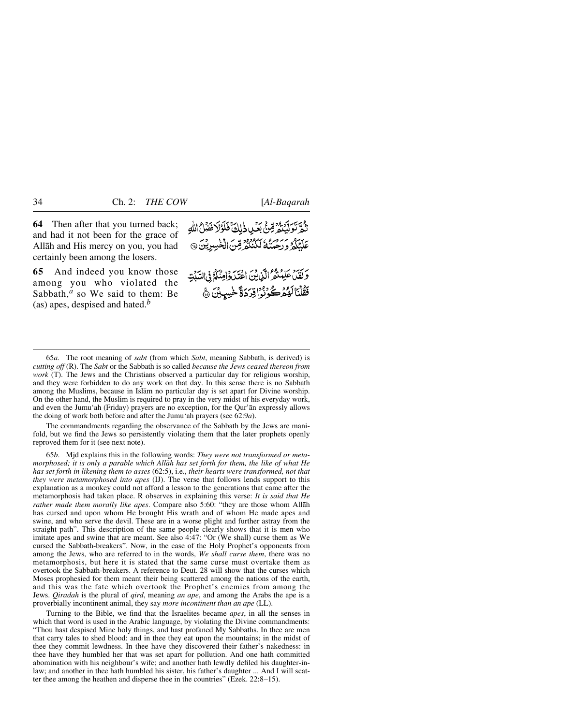**64** Then after that you turned back; and had it not been for the grace of Allåh and His mercy on you, you had certainly been among the losers.

**65** And indeed you know those among you who violated the Sabbath,<sup>*a*</sup> so We said to them: Be (as) apes, despised and hated.*<sup>b</sup>*

بِهِيَّ بِهِ بِعِدِهِمْ بِمَكِنْ ذَٰلِكَ فَلَوَلَا نَضْلُ اللَّهِ عَلَيْكُمُ وَرَحْمَتُهُ لَكُنْتُمْ قِنْ الْخَسِرِينَ @ وَكَفَلْ عَلِمُنْهُ الَّذِينَ اعْتَدَوْامِنَكُمْ فِي السَّبَٰتِ

فَقُلْنَالَهُمُرْكُونُوُاقِرَدَةً خَسِيِبْنَ ﴾

The commandments regarding the observance of the Sabbath by the Jews are manifold, but we find the Jews so persistently violating them that the later prophets openly reproved them for it (see next note).

65*b*. Mjd explains this in the following words: *They were not transformed or metamorphosed; it is only a parable which Allåh has set forth for them, the like of what He has set forth in likening them to asses* (62:5), i.e., *their hearts were transformed, not that they were metamorphosed into apes* (IJ). The verse that follows lends support to this explanation as a monkey could not afford a lesson to the generations that came after the metamorphosis had taken place. R observes in explaining this verse: *It is said that He rather made them morally like apes*. Compare also 5:60: "they are those whom Allåh has cursed and upon whom He brought His wrath and of whom He made apes and swine, and who serve the devil. These are in a worse plight and further astray from the straight path". This description of the same people clearly shows that it is men who imitate apes and swine that are meant. See also 4:47: "Or (We shall) curse them as We cursed the Sabbath-breakers". Now, in the case of the Holy Prophet's opponents from among the Jews, who are referred to in the words, *We shall curse them*, there was no metamorphosis, but here it is stated that the same curse must overtake them as overtook the Sabbath-breakers. A reference to Deut. 28 will show that the curses which Moses prophesied for them meant their being scattered among the nations of the earth, and this was the fate which overtook the Prophet's enemies from among the Jews. *Qiradah* is the plural of *qird*, meaning *an ape*, and among the Arabs the ape is a proverbially incontinent animal, they say *more incontinent than an ape* (LL).

Turning to the Bible, we find that the Israelites became *apes*, in all the senses in which that word is used in the Arabic language, by violating the Divine commandments: "Thou hast despised Mine holy things, and hast profaned My Sabbaths. In thee are men that carry tales to shed blood: and in thee they eat upon the mountains; in the midst of thee they commit lewdness. In thee have they discovered their father's nakedness: in thee have they humbled her that was set apart for pollution. And one hath committed abomination with his neighbour's wife; and another hath lewdly defiled his daughter-inlaw; and another in thee hath humbled his sister, his father's daughter ... And I will scatter thee among the heathen and disperse thee in the countries" (Ezek. 22:8–15).

<sup>65</sup>*a*. The root meaning of *sabt* (from which *Sabt*, meaning Sabbath, is derived) is *cutting off* (R). The *Sabt* or the Sabbath is so called *because the Jews ceased thereon from work* (T). The Jews and the Christians observed a particular day for religious worship, and they were forbidden to do any work on that day. In this sense there is no Sabbath among the Muslims, because in Islåm no particular day is set apart for Divine worship. On the other hand, the Muslim is required to pray in the very midst of his everyday work, and even the Jumu'ah (Friday) prayers are no exception, for the Qur'ån expressly allows the doing of work both before and after the Jumu'ah prayers (see 62:9*a*).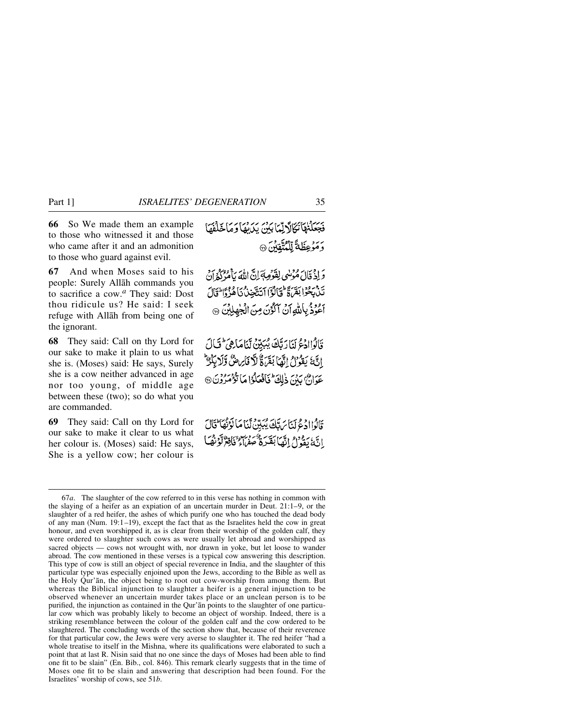**66** So We made them an example to those who witnessed it and those who came after it and an admonition to those who guard against evil.

**67** And when Moses said to his people: Surely Allåh commands you to sacrifice a cow.*<sup>a</sup>* They said: Dost thou ridicule us? He said: I seek refuge with Allåh from being one of the ignorant.

**68** They said: Call on thy Lord for our sake to make it plain to us what she is. (Moses) said: He says, Surely she is a cow neither advanced in age nor too young, of middle age between these (two); so do what you are commanded.

**69** They said: Call on thy Lord for our sake to make it clear to us what her colour is. (Moses) said: He says, She is a yellow cow; her colour is

فَجَعَلْنَهَا نَكَالًا لِّمَا بَيْنَ يَدَيْهَا وَمَا خَلْفَهَا ر .<br>وَمَوْعِظَةٌ لِّلْنُتَّقِيْنَ ۞

وَ إِذْ قَالَ مُؤْنِسٍ لِفَوْصِةَ إِنَّ اللَّهَ بِأَمْرُكُمُ إِنَّ نَدْبِحُوْا بَقَرَةً فَيَالُوْٓا أَتَتَّجِنُّ كَأُهُّزُوَّا فَالَ الحُوَدُ بِاللّهِ أَنْ أَكْوَنَ مِنَ الْجُهْلِيْنَ ۞

قَالُواادُعُ لَنَارَتَكَ يُبَيِّنُ لَّنَامَاهِيَ ۖ قَالَ انَّهَ يَقُونُ إِنَّهَا بَقَرَةٌ لَّا قَارِيضٌ وَّلَا بِكُرْ عَهُدَاهُ بِيهِمْ، ذَلِكَ تَأْفُعَلُوْا مَا تَؤْمَرُوْنَ@

قَالُواادُعُ لَيْتَاسَ تَكَ يُبَيِّنْ نَّنَا مَا لَوْنُهَا قَالَ إِنَّهُ بِمِدْدِهِ إِنَّهَا بِقَدِّرَةٌ عِفْرَةٌ وَسَلَّهُ وَإِنَّهُمْ لَوْنَفَيَا

<sup>67</sup>*a*. The slaughter of the cow referred to in this verse has nothing in common with the slaying of a heifer as an expiation of an uncertain murder in Deut. 21:1–9, or the slaughter of a red heifer, the ashes of which purify one who has touched the dead body of any man (Num. 19:1–19), except the fact that as the Israelites held the cow in great honour, and even worshipped it, as is clear from their worship of the golden calf, they were ordered to slaughter such cows as were usually let abroad and worshipped as sacred objects — cows not wrought with, nor drawn in yoke, but let loose to wander abroad. The cow mentioned in these verses is a typical cow answering this description. This type of cow is still an object of special reverence in India, and the slaughter of this particular type was especially enjoined upon the Jews, according to the Bible as well as the Holy Qur'ån, the object being to root out cow-worship from among them. But whereas the Biblical injunction to slaughter a heifer is a general injunction to be observed whenever an uncertain murder takes place or an unclean person is to be purified, the injunction as contained in the Qur'ån points to the slaughter of one particular cow which was probably likely to become an object of worship. Indeed, there is a striking resemblance between the colour of the golden calf and the cow ordered to be slaughtered. The concluding words of the section show that, because of their reverence for that particular cow, the Jews were very averse to slaughter it. The red heifer "had a whole treatise to itself in the Mishna, where its qualifications were elaborated to such a point that at last R. Nisin said that no one since the days of Moses had been able to find one fit to be slain" (En. Bib., col. 846). This remark clearly suggests that in the time of Moses one fit to be slain and answering that description had been found. For the Israelites' worship of cows, see 51*b*.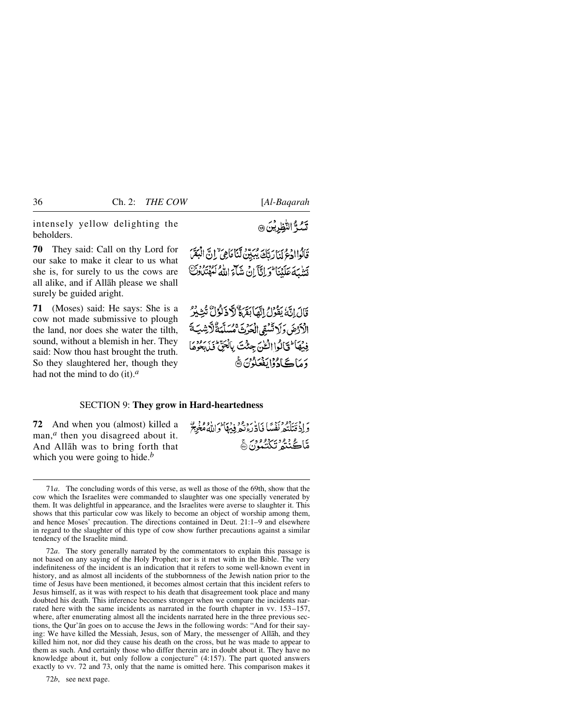intensely yellow delighting the beholders.

**70** They said: Call on thy Lord for our sake to make it clear to us what she is, for surely to us the cows are all alike, and if Allåh please we shall surely be guided aright.

**71** (Moses) said: He says: She is a cow not made submissive to plough the land, nor does she water the tilth, sound, without a blemish in her. They said: Now thou hast brought the truth. So they slaughtered her, though they had not the mind to do (it).*<sup>a</sup>*

تشدٌّ النُّظِرِيُنَ ۞

قَالُواادُعُ لَيَأْرَتَكَ يُبَيِّنُ لَّنَا مَاهِيٌ ۚ إِنَّ الْبَقَرَ تَشْبَهَ عَلَيْنَا وَلِلَّيَّ إِنْ شَكَّىَ اللَّهُ لَهُ تَنْكُونَ

قَالَ إِنَّهُ يَقُولُ إِنَّهَا بَقَىٰ وَلَا ذَلَوْلُ تُتِيْرُ الْأَدْضَ وَلَا تَسْقِى الْحَرْثَ مُسَلَّمَةٌ لَأَرْشِيَةَ فِيْهَا لَقَالُوا الْحُنّ جِئْتَ بِالْجَنَّ فَابْدُوهَا <u>وَمَاڪَادُوْايَفْعَلُوْنَ</u> ۞

### SECTION 9: **They grow in Hard-heartedness**

**72** And when you (almost) killed a man,<sup>*a*</sup> then you disagreed about it. And Allåh was to bring forth that which you were going to hide.*<sup>b</sup>*

وَإِذْ قَتَلْتُهُ نَفُسًا فَادَّرَءُنَّهُ فِيهَا وَاللَّهُ مُغْرِيَّ مَّاڪُنْتُمُ تَكَنُّمُونَ۞

72*a*. The story generally narrated by the commentators to explain this passage is not based on any saying of the Holy Prophet; nor is it met with in the Bible. The very indefiniteness of the incident is an indication that it refers to some well-known event in history, and as almost all incidents of the stubbornness of the Jewish nation prior to the time of Jesus have been mentioned, it becomes almost certain that this incident refers to Jesus himself, as it was with respect to his death that disagreement took place and many doubted his death. This inference becomes stronger when we compare the incidents narrated here with the same incidents as narrated in the fourth chapter in vv. 153–157, where, after enumerating almost all the incidents narrated here in the three previous sections, the Qur'ån goes on to accuse the Jews in the following words: "And for their saying: We have killed the Messiah, Jesus, son of Mary, the messenger of Allåh, and they killed him not, nor did they cause his death on the cross, but he was made to appear to them as such. And certainly those who differ therein are in doubt about it. They have no knowledge about it, but only follow a conjecture" (4:157). The part quoted answers exactly to vv. 72 and 73, only that the name is omitted here. This comparison makes it

72*b*, see next page.

<sup>71</sup>*a*. The concluding words of this verse, as well as those of the 69th, show that the cow which the Israelites were commanded to slaughter was one specially venerated by them. It was delightful in appearance, and the Israelites were averse to slaughter it. This shows that this particular cow was likely to become an object of worship among them, and hence Moses' precaution. The directions contained in Deut. 21:1–9 and elsewhere in regard to the slaughter of this type of cow show further precautions against a similar tendency of the Israelite mind.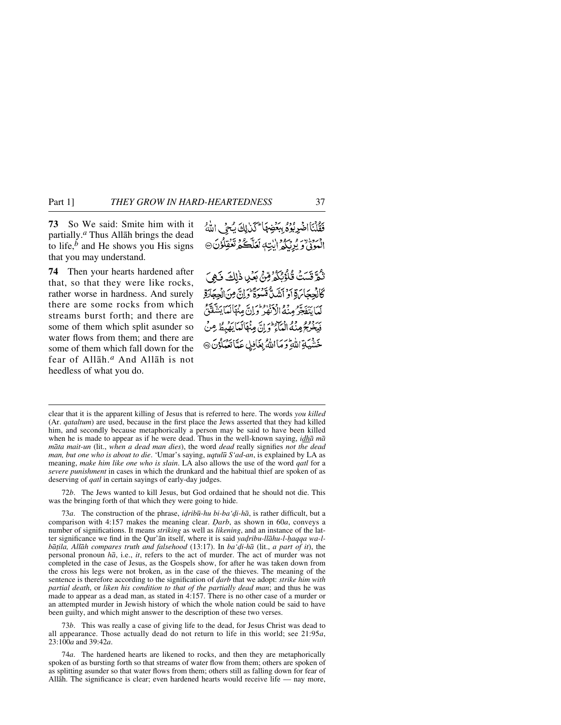**73** So We said: Smite him with it partially.*<sup>a</sup>* Thus Allåh brings the dead to life, $<sup>b</sup>$  and He shows you His signs</sup> that you may understand.

**74** Then your hearts hardened after that, so that they were like rocks, rather worse in hardness. And surely there are some rocks from which streams burst forth; and there are some of them which split asunder so water flows from them; and there are some of them which fall down for the fear of Allåh.*<sup>a</sup>* And Allåh is not heedless of what you do.

فَقُلْنَا اضْرِبُوُمُ بِبَعْضِهَا لَكَنْ لِكَ يُحِي اللَّهُ المُوَنَّىٰ وَيُرْبَكُمُ إِلَيْهِ لَعَلَّكُمُ تَعْقِلُوْنَ ۞

ثُمَّ قَسَتُ قُلُؤُبُكُمُ مِّنَّ بَعُلِ ذٰلِكَ فَهِيَ كَالْجِجَاسَةِ أَوْ أَنْتَبِيٌّ قَسْوَةً وَإِنَّ مِنَ الْجِجَارَةِ لَمَا يَتَصَدَّرُ مِنْهُ الْأَنْفِرُ وَإِنَّ مِنْهَالَمَا يَتَشَفَقُ فَبِخْرِ يَجْرِمِنْهُ الْعَبَاءِ ۖ وَإِنَّ مِنْهَالَعَا بَقَبِطُ مِنْ خشية اللهِ وَمَا اللهُ بِغَافِلٍ عَمَّاتَعُمْلُونَ @

clear that it is the apparent killing of Jesus that is referred to here. The words *you killed* (Ar. *qataltum*) are used, because in the first place the Jews asserted that they had killed him, and secondly because metaphorically a person may be said to have been killed when he is made to appear as if he were dead. Thus in the well-known saying, *idhå må måta mait-un* (lit., *when a dead man dies*), the word *dead* really signifies *not the dead man, but one who is about to die*. 'Umar's saying, *uqtul∂ S'ad-an*, is explained by LA as meaning, *make him like one who is slain*. LA also allows the use of the word *qatl* for a *severe punishment* in cases in which the drunkard and the habitual thief are spoken of as deserving of *qatl* in certain sayings of early-day judges.

72*b*. The Jews wanted to kill Jesus, but God ordained that he should not die. This was the bringing forth of that which they were going to hide.

73*a*. The construction of the phrase, *idribū-hu bi-ba* '*di-hā*, is rather difficult, but a comparison with 4:157 makes the meaning clear. *Óarb*, as shown in 60*a*, conveys a number of significations. It means *striking* as well as *likening*, and an instance of the latter significance we find in the Qur'ān itself, where it is said *yadribu-llāhu-l-ḥaqqa wa-lbå∆ila, Allåh compares truth and falsehood* (13:17). In *ba'˙i-hå* (lit., *a part of it*), the personal pronoun *hå*, i.e., *it*, refers to the act of murder. The act of murder was not completed in the case of Jesus, as the Gospels show, for after he was taken down from the cross his legs were not broken, as in the case of the thieves. The meaning of the sentence is therefore according to the signification of *darb* that we adopt: *strike him with partial death*, or *liken his condition to that of the partially dead man*; and thus he was made to appear as a dead man, as stated in 4:157. There is no other case of a murder or an attempted murder in Jewish history of which the whole nation could be said to have been guilty, and which might answer to the description of these two verses.

73*b*. This was really a case of giving life to the dead, for Jesus Christ was dead to all appearance. Those actually dead do not return to life in this world; see 21:95*a*, 23:100*a* and 39:42*a*.

74*a*. The hardened hearts are likened to rocks, and then they are metaphorically spoken of as bursting forth so that streams of water flow from them; others are spoken of as splitting asunder so that water flows from them; others still as falling down for fear of Allåh. The significance is clear; even hardened hearts would receive life — nay more,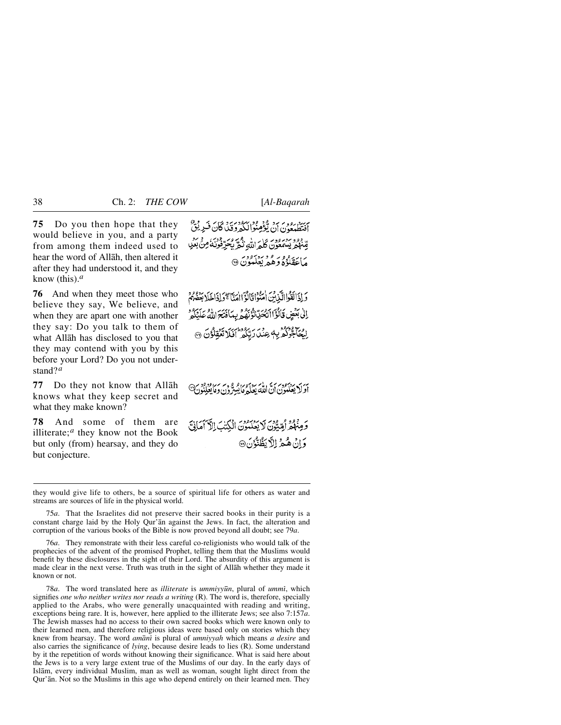**75** Do you then hope that they would believe in you, and a party from among them indeed used to hear the word of Allåh, then altered it after they had understood it, and they know (this).*<sup>a</sup>*

**76** And when they meet those who believe they say, We believe, and when they are apart one with another they say: Do you talk to them of what Allåh has disclosed to you that they may contend with you by this before your Lord? Do you not understand?*<sup>a</sup>*

**77** Do they not know that Allåh knows what they keep secret and what they make known?

**78** And some of them are illiterate;*<sup>a</sup>* they know not the Book but only (from) hearsay, and they do but conjecture.

ہریز روویہ ہرو قوم دی دی ہے۔<br>افتطیعی ن)ن یومنوالکہ وقتی گان فیزینی قِّنْهُمْ يَسْمَعُونَ كَلَّهُ اللَّهِ نَكْرٌ يُحَرِّفُونَهُ مِنْ بَعْدِ ر) ئۇيدۇر مۇرىيەدە<br>ماغقلۇە دېھىر بېلىدۇن ®

وَإِذَالَقَوْاالَّذِينَ أُمَنُوْاقَانُوْٓاامَدَّاۤ ﴾وَإِذَاخَلَا بَعْثُمُ مَ اِلِي بَعْضٍ قَالَوْاً اَتَّحَدِّتْوُنِّهُمُّ بِبِدَافَتَحَ اللَّهُ عَلَيْكُمْ الحَاجَّوُكُمُّ بِهٖ عِنْدَ رَبِّكُمْ أَفَلَا تَعْقِلُوْنَ ۞

به بر بر برود برسی امریکه برود و بر برابود در برا<br>اولایعلنون ان امله یعلم مایبرون ومایعلنون

وَمِنْهُمْ أَمِّيُّونَ لَا يَعْلَمُونَ الْكِنْبَ الْأَسَمَانِيَّ وَإِنْ هُمْ إِلاَّ يَظُنُّرُنَ®

they would give life to others, be a source of spiritual life for others as water and streams are sources of life in the physical world.

76*a*. They remonstrate with their less careful co-religionists who would talk of the prophecies of the advent of the promised Prophet, telling them that the Muslims would benefit by these disclosures in the sight of their Lord. The absurdity of this argument is made clear in the next verse. Truth was truth in the sight of Allåh whether they made it known or not.

78*a*. The word translated here as *illiterate* is *ummiyy∂n*, plural of *ummß*, which signifies *one who neither writes nor reads a writing* (R). The word is, therefore, specially applied to the Arabs, who were generally unacquainted with reading and writing, exceptions being rare. It is, however, here applied to the illiterate Jews; see also 7:157*a*. The Jewish masses had no access to their own sacred books which were known only to their learned men, and therefore religious ideas were based only on stories which they knew from hearsay. The word *amånß* is plural of *umniyyah* which means *a desire* and also carries the significance of *lying*, because desire leads to lies (R). Some understand by it the repetition of words without knowing their significance. What is said here about the Jews is to a very large extent true of the Muslims of our day. In the early days of Islåm, every individual Muslim, man as well as woman, sought light direct from the Qur'ån. Not so the Muslims in this age who depend entirely on their learned men. They

<sup>75</sup>*a*. That the Israelites did not preserve their sacred books in their purity is a constant charge laid by the Holy Qur'ån against the Jews. In fact, the alteration and corruption of the various books of the Bible is now proved beyond all doubt; see 79*a*.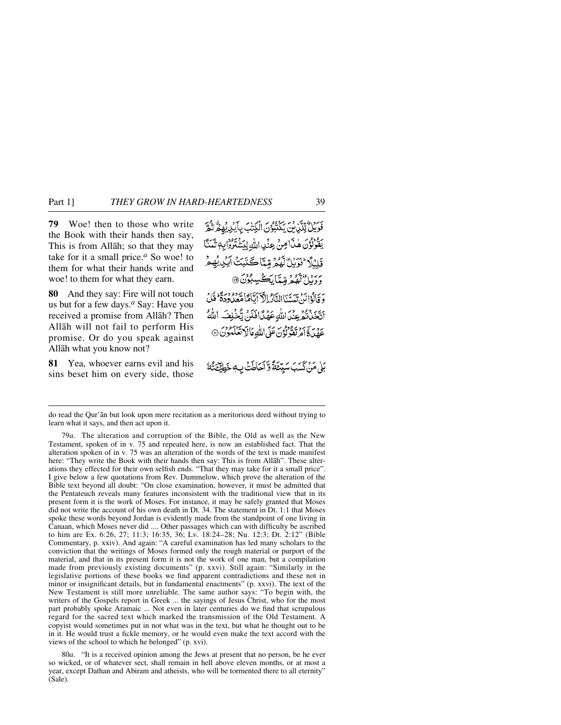**79** Woe! then to those who write the Book with their hands then say, This is from Allåh; so that they may take for it a small price.*<sup>a</sup>* So woe! to them for what their hands write and woe! to them for what they earn.

**80** And they say: Fire will not touch us but for a few days.*<sup>a</sup>* Say: Have you received a promise from Allåh? Then Allåh will not fail to perform His promise. Or do you speak against Allåh what you know not?

**81** Yea, whoever earns evil and his sins beset him on every side, those فَوَيْنٌ لِّلَّذِنَّ يَكْتُبُوُنَ الْكِتْبَ بِأَيْدِيهِ فَرَبُّعْ يَقُوْلُوْنَ هٰذَا صِنْ عِنْدِ اللَّهِ لِيَشْتَرُوْا بِهٖ ثَمَنَّا قَلِيْلًا فَوَبِّلُ لَّهُمُّ مِّيِّنَاڪَتَيِّتُ آيَيْ ىر دائ<sup>4</sup>ۇر قەتتاپىڭىيىبون @ وَ قَالُوۡالَّهَ ۚ يَهَسَّنَاالتَّادُ الْآَيَاتَاهَاهُمَّعْدُودَةً ۚ قُلۡ ۚ أَتَّخَذَتْهُ عِنْدَ اللَّهِ عَهْدًا فَلَنَّ يَّخْلِفَ اللَّهُ عَهْدَ كَيْ آمِرْتَقُولُوْنَ عَلَى اللَّهِ مَالَا تَعْلَمُوْنَ ۞

بَلْ مَنْ كَسَبَ سَيِّعَةً وَّ أَحَاطَتْ بِ خَطِيْعَتْهُ

do read the Qur'ån but look upon mere recitation as a meritorious deed without trying to learn what it says, and then act upon it.

79*a*. The alteration and corruption of the Bible, the Old as well as the New Testament, spoken of in v. 75 and repeated here, is now an established fact. That the alteration spoken of in v. 75 was an alteration of the words of the text is made manifest here: "They write the Book with their hands then say: This is from Allåh". These alterations they effected for their own selfish ends. "That they may take for it a small price". I give below a few quotations from Rev. Dummelow, which prove the alteration of the Bible text beyond all doubt: "On close examination, however, it must be admitted that the Pentateuch reveals many features inconsistent with the traditional view that in its present form it is the work of Moses. For instance, it may be safely granted that Moses did not write the account of his own death in Dt. 34. The statement in Dt. 1:1 that Moses spoke these words beyond Jordan is evidently made from the standpoint of one living in Canaan, which Moses never did .... Other passages which can with difficulty be ascribed to him are Ex. 6:26, 27; 11:3; 16:35, 36; Lv. 18:24–28; Nu. 12:3; Dt. 2:12" (Bible Commentary, p. xxiv). And again: "A careful examination has led many scholars to the conviction that the writings of Moses formed only the rough material or purport of the material, and that in its present form it is not the work of one man, but a compilation made from previously existing documents" (p. xxvi). Still again: "Similarly in the legislative portions of these books we find apparent contradictions and these not in minor or insignificant details, but in fundamental enactments" (p. xxvi). The text of the New Testament is still more unreliable. The same author says: "To begin with, the writers of the Gospels report in Greek ... the sayings of Jesus Christ, who for the most part probably spoke Aramaic ... Not even in later centuries do we find that scrupulous regard for the sacred text which marked the transmission of the Old Testament. A copyist would sometimes put in not what was in the text, but what he thought out to be in it. He would trust a fickle memory, or he would even make the text accord with the views of the school to which he belonged" (p. xvi).

80*a*. "It is a received opinion among the Jews at present that no person, be he ever so wicked, or of whatever sect, shall remain in hell above eleven months, or at most a year, except Dathan and Abiram and atheists, who will be tormented there to all eternity" (Sale).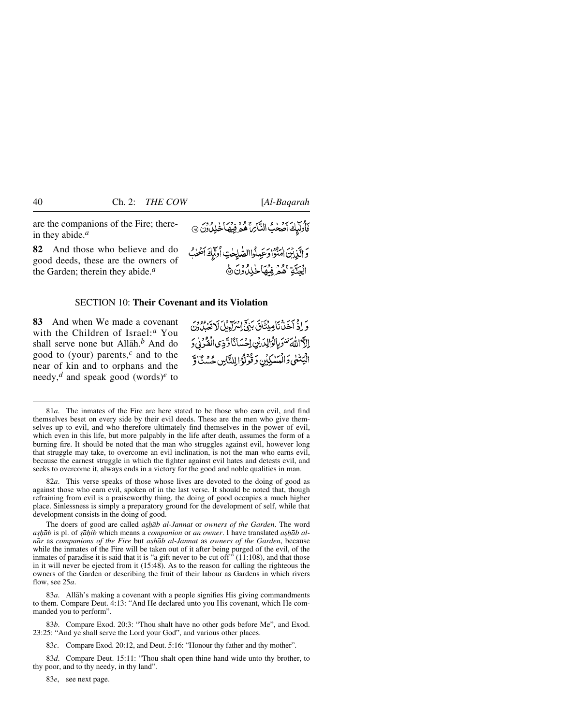are the companions of the Fire; therein they abide.*<sup>a</sup>*

**82** And those who believe and do good deeds, these are the owners of the Garden; therein they abide.*<sup>a</sup>*

# SECTION 10: **Their Covenant and its Violation**

**83** And when We made a covenant with the Children of Israel:*<sup>a</sup>* You shall serve none but Allåh.*<sup>b</sup>* And do good to (your) parents,*<sup>c</sup>* and to the near of kin and to orphans and the needy,*<sup>d</sup>* and speak good (words)*<sup>e</sup>* to

وَإِذْ آَخَذْنَاهِينَتَاقَ بَنِيٍّ إِسْرَاءِيلَ لَاتَّعَبِكُونَ الآاللةَ تَنْوَيانُوالِدَيْنِ اِحْسَانًا وَّذِى الْقُرْنِي الْيَتْنَى وَالْمَسْكِيْنِ وَقَوْلُوْالِلنَّاسِ حُسْنَاقَ

قَادِلِكَ أَصَعْبُ النَّائِرَةَ هُمْ فِيهَا خَلِلٌ وَنَ @

وَالَّذِيْنَ اٰمَنُوْا وَعَبِدُواالصَّلِحٰتِ أُولَّيْكَ أَصْحٰبُ

الْجَنَّةِ عَمْرُ فِيهَا خَلِدُونَ۞

81*a*. The inmates of the Fire are here stated to be those who earn evil, and find themselves beset on every side by their evil deeds. These are the men who give themselves up to evil, and who therefore ultimately find themselves in the power of evil, which even in this life, but more palpably in the life after death, assumes the form of a burning fire. It should be noted that the man who struggles against evil, however long that struggle may take, to overcome an evil inclination, is not the man who earns evil, because the earnest struggle in which the fighter against evil hates and detests evil, and seeks to overcome it, always ends in a victory for the good and noble qualities in man.

82*a*. This verse speaks of those whose lives are devoted to the doing of good as against those who earn evil, spoken of in the last verse. It should be noted that, though refraining from evil is a praiseworthy thing, the doing of good occupies a much higher place. Sinlessness is simply a preparatory ground for the development of self, while that development consists in the doing of good.

The doers of good are called *ashab al-Jannat* or *owners of the Garden*. The word *ashāb* is pl. of *sāhib* which means a *companion* or *an owner*. I have translated *ashāb alnår* as *companions of the Fire* but *a©√åb al-Jannat* as *owners of the Garden*, because while the inmates of the Fire will be taken out of it after being purged of the evil, of the inmates of paradise it is said that it is "a gift never to be cut off"  $(11:108)$ , and that those in it will never be ejected from it (15:48). As to the reason for calling the righteous the owners of the Garden or describing the fruit of their labour as Gardens in which rivers flow, see 25*a*.

83*a*. Allåh's making a covenant with a people signifies His giving commandments to them. Compare Deut. 4:13: "And He declared unto you His covenant, which He commanded you to perform".

83*b*. Compare Exod. 20:3: "Thou shalt have no other gods before Me", and Exod. 23:25: "And ye shall serve the Lord your God", and various other places.

83*c*. Compare Exod. 20:12, and Deut. 5:16: "Honour thy father and thy mother".

83*d*. Compare Deut. 15:11: "Thou shalt open thine hand wide unto thy brother, to thy poor, and to thy needy, in thy land".

83*e*, see next page.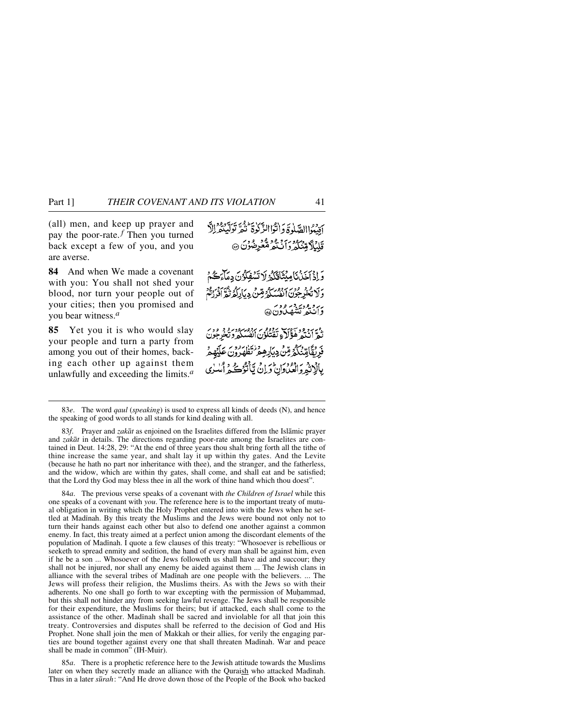(all) men, and keep up prayer and pay the poor-rate. *<sup>f</sup>* Then you turned back except a few of you, and you are averse.

**84** And when We made a covenant with you: You shall not shed your blood, nor turn your people out of your cities; then you promised and you bear witness.*<sup>a</sup>*

**85** Yet you it is who would slay your people and turn a party from among you out of their homes, backing each other up against them unlawfully and exceeding the limits.*<sup>a</sup>*

أقنبوا الصّلوةَ وَانْتَوْا الزَّكُوةُ نَيْرٌ تُولَّبِيْتُمْ الْإِ قلبُلاً مِّنْکُهُ وَأَنْتُهُمْ مُّعْرِضُونَ ۞

وَإِذْ آَخَنُ نَامِيْتَأَقَّكُمُ لَا تَسْفِكُونَ دِمَآءَكُمْ وَلَا تَحْدِجُوْنَ الْفُسَكَّرُ قِسْ دِيَالِكُمُ نُقْرَانُوْرُثُمْ ربرو ووي *در و*ور<br>وان تمر تشهيباون @

ده برو و د آنتر آموزه برو در دور د و و در<br>ند انتخابه مؤکره تفتگون انفسکه د تخرجون فَدِيْقَامِيّْنَكُمْ مِّنْ دِيَاْرِهِ مِرْنَتَنَا رُوْمٍ عَلَيْهِ مِرْ بِالْإِنْهُ وَالْعُدُورَانَ وَإِنْ تَأْتُوُكُ وَإِنْ

83*f*. Prayer and *zakåt* as enjoined on the Israelites differed from the Islåmic prayer and *zakåt* in details. The directions regarding poor-rate among the Israelites are contained in Deut. 14:28, 29: "At the end of three years thou shalt bring forth all the tithe of thine increase the same year, and shalt lay it up within thy gates. And the Levite (because he hath no part nor inheritance with thee), and the stranger, and the fatherless, and the widow, which are within thy gates, shall come, and shall eat and be satisfied; that the Lord thy God may bless thee in all the work of thine hand which thou doest".

84*a*. The previous verse speaks of a covenant with *the Children of Israel* while this one speaks of a covenant with *you*. The reference here is to the important treaty of mutual obligation in writing which the Holy Prophet entered into with the Jews when he settled at Madinah. By this treaty the Muslims and the Jews were bound not only not to turn their hands against each other but also to defend one another against a common enemy. In fact, this treaty aimed at a perfect union among the discordant elements of the population of Madinah. I quote a few clauses of this treaty: "Whosoever is rebellious or seeketh to spread enmity and sedition, the hand of every man shall be against him, even if he be a son ... Whosoever of the Jews followeth us shall have aid and succour; they shall not be injured, nor shall any enemy be aided against them ... The Jewish clans in alliance with the several tribes of Madinah are one people with the believers. ... The Jews will profess their religion, the Muslims theirs. As with the Jews so with their adherents. No one shall go forth to war excepting with the permission of Muhammad, but this shall not hinder any from seeking lawful revenge. The Jews shall be responsible for their expenditure, the Muslims for theirs; but if attacked, each shall come to the assistance of the other. Madinah shall be sacred and inviolable for all that join this treaty. Controversies and disputes shall be referred to the decision of God and His Prophet. None shall join the men of Makkah or their allies, for verily the engaging parties are bound together against every one that shall threaten Madinah. War and peace shall be made in common" (IH-Muir).

85*a*. There is a prophetic reference here to the Jewish attitude towards the Muslims later on when they secretly made an alliance with the Quraish who attacked Madinah. Thus in a later *s∂rah*: "And He drove down those of the People of the Book who backed

<sup>83</sup>*e*. The word *qaul* (*speaking*) is used to express all kinds of deeds (N), and hence the speaking of good words to all stands for kind dealing with all.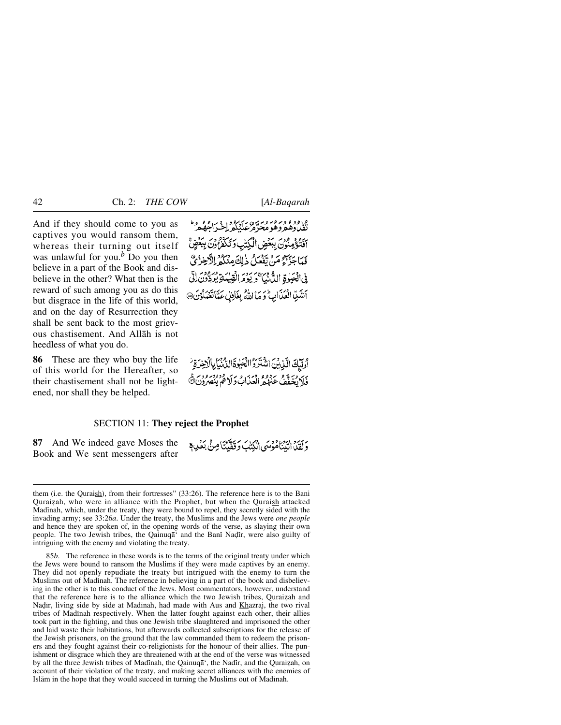And if they should come to you as captives you would ransom them, whereas their turning out itself was unlawful for you.*<sup>b</sup>* Do you then believe in a part of the Book and disbelieve in the other? What then is the reward of such among you as do this but disgrace in the life of this world, and on the day of Resurrection they shall be sent back to the most grievous chastisement. And Allåh is not heedless of what you do.

**86** These are they who buy the life of this world for the Hereafter, so their chastisement shall not be lightened, nor shall they be helped.

وروو *ومرور وسره وسرم دو*رد وسرم و وط<br>تقدروهم وهو محرم عليكم لخير اجههم أَفْتَؤُمِنُونَ بِبَعْضِ الْكُتْبِ وَتَكَفَّرُونَ بِبَعْضٍ فَعَاجَزَاءُ مَنْ تَفَعَلُ ذٰلِكَ مِنْكُمْ الْأَخِزْئُ فِي الْعَيْوِةِ الدَّنْ بِٱلْمَرْحِ وَيَوْمَرِ الْقِيْدَ أَنْتُبِيَّا الْعَذَابِ وَمَا اللَّهُ بِغَافِلِ عَدَّاتَعْمَلُوْنَ@

أولَّكَ الَّذِينَ اشْتَرَدُ الصَّوةَ الدُّنْيَا بِالْزَخِرَةِ فَلَا يُخَفَّفُ عَنْهُمُ الْعَدَابُ وَلَا قُوْمِ بِنُصْرُونَ ۞

وَلَقَلْمَ انْبَيْنَاهُوۡسَى الۡكِتَٰبَ وَقَفَّيۡنَاۚ مِنۡ بَعۡلِي مِّ

## SECTION 11: **They reject the Prophet**

**87** And We indeed gave Moses the Book and We sent messengers after

them (i.e. the Quraish), from their fortresses" (33:26). The reference here is to the Bani Quraizah, who were in alliance with the Prophet, but when the Quraish attacked Madinah, which, under the treaty, they were bound to repel, they secretly sided with the invading army; see 33:26*a*. Under the treaty, the Muslims and the Jews were *one people* and hence they are spoken of, in the opening words of the verse, as slaying their own people. The two Jewish tribes, the Qainuqā' and the Bani Nadir, were also guilty of intriguing with the enemy and violating the treaty.

<sup>85</sup>*b*. The reference in these words is to the terms of the original treaty under which the Jews were bound to ransom the Muslims if they were made captives by an enemy. They did not openly repudiate the treaty but intrigued with the enemy to turn the Muslims out of Madinah. The reference in believing in a part of the book and disbelieving in the other is to this conduct of the Jews. Most commentators, however, understand that the reference here is to the alliance which the two Jewish tribes, Quraizah and Nadir, living side by side at Madinah, had made with Aus and Khazraj, the two rival tribes of Madinah respectively. When the latter fought against each other, their allies took part in the fighting, and thus one Jewish tribe slaughtered and imprisoned the other and laid waste their habitations, but afterwards collected subscriptions for the release of the Jewish prisoners, on the ground that the law commanded them to redeem the prisoners and they fought against their co-religionists for the honour of their allies. The punishment or disgrace which they are threatened with at the end of the verse was witnessed by all the three Jewish tribes of Madinah, the Qainuqā', the Nadir, and the Quraizah, on account of their violation of the treaty, and making secret alliances with the enemies of Islām in the hope that they would succeed in turning the Muslims out of Madinah.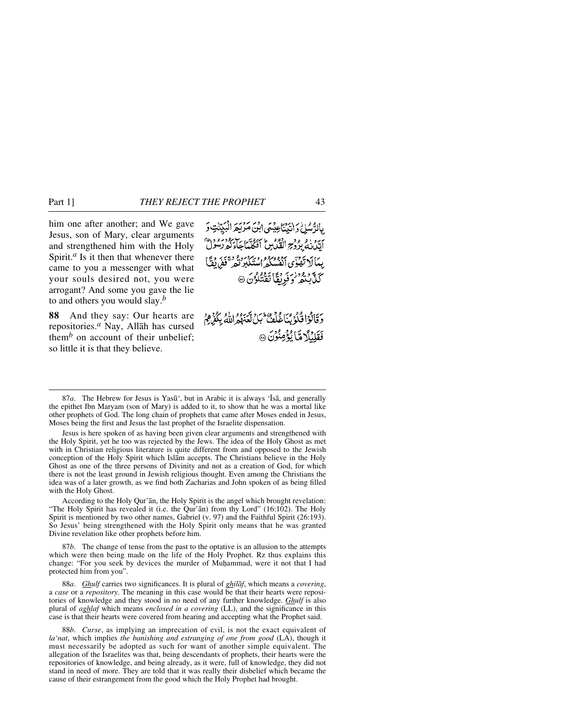him one after another; and We gave Jesus, son of Mary, clear arguments and strengthened him with the Holy Spirit. $a$  Is it then that whenever there came to you a messenger with what your souls desired not, you were arrogant? And some you gave the lie to and others you would slay.*<sup>b</sup>*

**88** And they say: Our hearts are repositories.*<sup>a</sup>* Nay, Allåh has cursed them<sup>*b*</sup> on account of their unbelief; so little it is that they believe.

بِالرُّسُلُ وَالبِّيِّنَاعِيْسَى ابْنَ مَرْيَعَ الْبَيِّتْنِ وَ بيرد : و ووج القياس أفكلها يبرودو.<br>اللهاني بروج القياس أفكلهاجاء كوريه بِيمَا لَا تَفْتَى أَدْوُوبُرُو وَيُرْدَرُ وَمَعْ ذَوْرٌ فَفِرٍ لَقَبَأَ كَلَّابِنْهُمْ وَفَرِيقًا تَقْتُلُوُنَ ۞

وَقَالُوۡاقُلُوۡبُنَاغُلُفُ ۚ بَلۡ لَّعَهُمُ اللَّهُ بِكُفَرِيْهِمُ فَقَلِبُلَّا مِّا يُؤْمِنُونَ @

87*a*. The Hebrew for Jesus is Yasū', but in Arabic it is always 'Īsā, and generally the epithet Ibn Maryam (son of Mary) is added to it, to show that he was a mortal like other prophets of God. The long chain of prophets that came after Moses ended in Jesus, Moses being the first and Jesus the last prophet of the Israelite dispensation.

Jesus is here spoken of as having been given clear arguments and strengthened with the Holy Spirit, yet he too was rejected by the Jews. The idea of the Holy Ghost as met with in Christian religious literature is quite different from and opposed to the Jewish conception of the Holy Spirit which Islåm accepts. The Christians believe in the Holy Ghost as one of the three persons of Divinity and not as a creation of God, for which there is not the least ground in Jewish religious thought. Even among the Christians the idea was of a later growth, as we find both Zacharias and John spoken of as being filled with the Holy Ghost.

According to the Holy Qur'ån, the Holy Spirit is the angel which brought revelation: "The Holy Spirit has revealed it (i.e. the Qur'ån) from thy Lord" (16:102). The Holy Spirit is mentioned by two other names, Gabriel (v. 97) and the Faithful Spirit (26:193). So Jesus' being strengthened with the Holy Spirit only means that he was granted Divine revelation like other prophets before him.

87*b*. The change of tense from the past to the optative is an allusion to the attempts which were then being made on the life of the Holy Prophet. Rz thus explains this change: "For you seek by devices the murder of Muhammad, were it not that I had protected him from you".

88*a*. *Ghulf* carries two significances. It is plural of *ghilåf*, which means a *covering*, a *case* or a *repository*. The meaning in this case would be that their hearts were repositories of knowledge and they stood in no need of any further knowledge. *Ghulf* is also plural of *aghlaf* which means *enclosed in a covering* (LL), and the significance in this case is that their hearts were covered from hearing and accepting what the Prophet said.

88*b*. *Curse*, as implying an imprecation of evil, is not the exact equivalent of *la'nat*, which implies *the banishing and estranging of one from good* (LA), though it must necessarily be adopted as such for want of another simple equivalent. The allegation of the Israelites was that, being descendants of prophets, their hearts were the repositories of knowledge, and being already, as it were, full of knowledge, they did not stand in need of more. They are told that it was really their disbelief which became the cause of their estrangement from the good which the Holy Prophet had brought.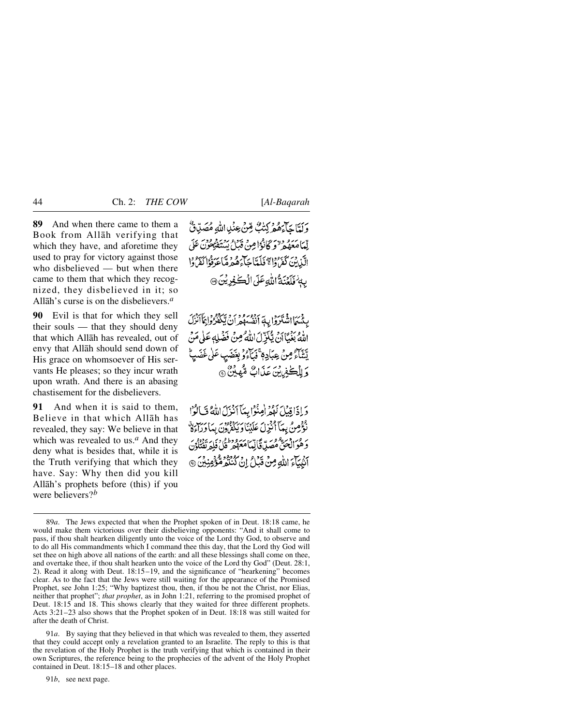**89** And when there came to them a Book from Allåh verifying that which they have, and aforetime they used to pray for victory against those who disbelieved — but when there came to them that which they recognized, they disbelieved in it; so Allåh's curse is on the disbelievers.*<sup>a</sup>*

**90** Evil is that for which they sell their souls — that they should deny that which Allåh has revealed, out of envy that Allåh should send down of His grace on whomsoever of His servants He pleases; so they incur wrath upon wrath. And there is an abasing chastisement for the disbelievers.

**91** And when it is said to them, Believe in that which Allåh has revealed, they say: We believe in that which was revealed to us.*<sup>a</sup>* And they deny what is besides that, while it is the Truth verifying that which they have. Say: Why then did you kill Allåh's prophets before (this) if you were believers?*<sup>b</sup>*

وَلَمَّا حَآءَهُمْ كِتَٰبٌ قِنْ عِنْدِاللَّهِ مُصَدِّقٌ لِّمَامَعَهُمْ "وَكَانُوْامِنْ قَبْلُ يَسْتَفْتِعُوْنَ عَلَى الآزرين كفرواء فككتاجي وهمرة باعرفوا كفروا بِهِ فَلَعْنَةُ اللَّهِ عَلَى الْكُفِيرِيْنَ @

بِّئْسَمَاإِنْشَنَزَوْا بِهَ بَرْدُهُ مِنْ أَنْ تَبْكَثْرُوْا بِمَأْأَنْزَلَ اللَّهُ بَغْيًاأَنَّ يُنْزَلَ اللَّهُ مِنْ فَضَلِّهِ عَلَى مَنْ يَّتَنَاءُ مِنْ عِبَادِمٍ ۚ فَيَأْءُوۡ بِغَضَبِ عَلٰى غَضَ وَ لِلۡڪٰفِرِينَ عَذَابٌ مُّهِينٌ ۞

وَإِذَاقِيْلَ لَهُمُ أُمِنُوْا بِيَآ أَنْزَلَ اللَّهُ فَبَالُوْا فَوْمِنْ بِيهَا أَنْزِلَ عَلَيْنَا دِيهُ وَوْمِهِ \_ مِنْ مِنْ وَ وَهُوَ الْحَقُّ مُصَلٌّ قَالِيّاً مَعَهُو قُلْ فَلِهِ نَقْتُلُونَ آَيْبِيَآْءَ اللَّهِ مِنْ قَبَلْ إِنْ كُنْتُمْ قُوَّمِنِيْنَ ۞

91*a*. By saying that they believed in that which was revealed to them, they asserted that they could accept only a revelation granted to an Israelite. The reply to this is that the revelation of the Holy Prophet is the truth verifying that which is contained in their own Scriptures, the reference being to the prophecies of the advent of the Holy Prophet contained in Deut. 18:15–18 and other places.

91*b*, see next page.

<sup>89</sup>*a*. The Jews expected that when the Prophet spoken of in Deut. 18:18 came, he would make them victorious over their disbelieving opponents: "And it shall come to pass, if thou shalt hearken diligently unto the voice of the Lord thy God, to observe and to do all His commandments which I command thee this day, that the Lord thy God will set thee on high above all nations of the earth: and all these blessings shall come on thee, and overtake thee, if thou shalt hearken unto the voice of the Lord thy God" (Deut. 28:1, 2). Read it along with Deut. 18:15–19, and the significance of "hearkening" becomes clear. As to the fact that the Jews were still waiting for the appearance of the Promised Prophet, see John 1:25; "Why baptizest thou, then, if thou be not the Christ, nor Elias, neither that prophet"; *that prophet*, as in John 1:21, referring to the promised prophet of Deut. 18:15 and 18. This shows clearly that they waited for three different prophets. Acts 3:21–23 also shows that the Prophet spoken of in Deut. 18:18 was still waited for after the death of Christ.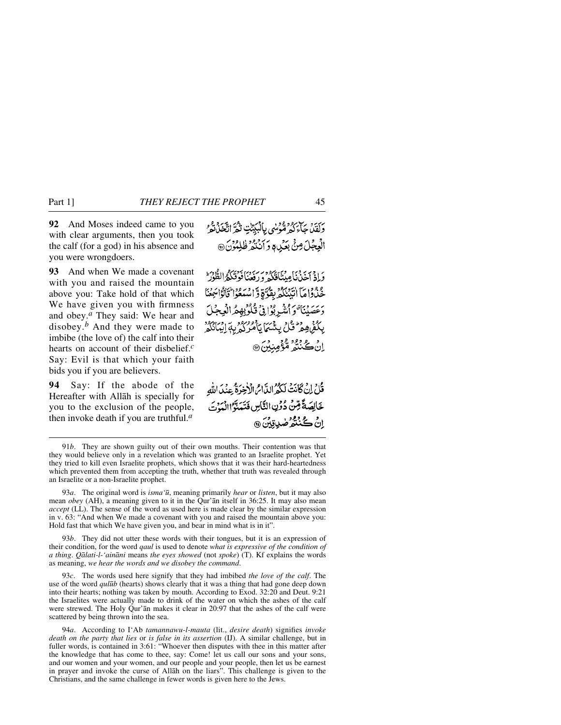**92** And Moses indeed came to you with clear arguments, then you took the calf (for a god) in his absence and you were wrongdoers.

**93** And when We made a covenant with you and raised the mountain above you: Take hold of that which We have given you with firmness and obey.*<sup>a</sup>* They said: We hear and disobey.*<sup>b</sup>* And they were made to imbibe (the love of) the calf into their hearts on account of their disbelief.*<sup>c</sup>* Say: Evil is that which your faith bids you if you are believers.

**94** Say: If the abode of the Hereafter with Allåh is specially for you to the exclusion of the people, then invoke death if you are truthful.*<sup>a</sup>*

رَبَّيْهُ جَيْ رُوْمُوْسُي بِالْبَيِّبْتِ تَثْمَرَ اتَّخَذَبَةُ وَ الْعِجْلَ مِنْيَ بِعَيْدِ وَ أَنْتُمْرُ ظُلِمُوْنَ @

وَاذْ أَحْدَنَا مِيتَأْقَلَكُمْ وَرَئِعْنَا فَوَقَلَكُمُ الطُّوْرَ \* حْذُواهَا انْبَنْكُمْ بِقُرَّةٍ وَاسْتَعُوا قَالَوْاتِيَنَا وَعَصَيْنَا وَالشَّرِبُوَافِي قُلُوْبِهِمُ الْعِجْلَ بِكُفْرُهِمْ ۖ قُلْ بِيَثْبَهَا بِأَمْرُكُمْ بِهِ إِيْبَانَكُمْ ۚ د ڪ وفق هو مندين هو.<br>پان ڪننڍ هو مندين هو

قُلْ إِنْ كَانَتْ لَكُمُ الدَّاسُ الْأَخِيرَةُ عِنْدَ اللَّهِ خَالِصَةً قِنْ دُونِ النَّاسِ فَتَمَنَّوُا الْمَوْتَ ٳڽ**ٛٙػ**ڹٛۺؙۯۻۑڗڹۣڽؘ۞

93*a*. The original word is *isma'∂*, meaning primarily *hear* or *listen*, but it may also mean *obey* (AH), a meaning given to it in the Qur'ån itself in 36:25. It may also mean *accept* (LL). The sense of the word as used here is made clear by the similar expression in v. 63: "And when We made a covenant with you and raised the mountain above you: Hold fast that which We have given you, and bear in mind what is in it".

93*b*. They did not utter these words with their tongues, but it is an expression of their condition, for the word *qaul* is used to denote *what is expressive of the condition of a thing*. *Qålati-l-'ainåni* means *the eyes showed* (not *spoke*) (T). Kf explains the words as meaning, *we hear the words and we disobey the command*.

93*c*. The words used here signify that they had imbibed *the love of the calf*. The use of the word *qul∂b* (hearts) shows clearly that it was a thing that had gone deep down into their hearts; nothing was taken by mouth. According to Exod. 32:20 and Deut. 9:21 the Israelites were actually made to drink of the water on which the ashes of the calf were strewed. The Holy Qur'ån makes it clear in 20:97 that the ashes of the calf were scattered by being thrown into the sea.

94*a*. According to I'Ab *tamannawu-l-mauta* (lit., *desire death*) signifies *invoke death on the party that lies* or *is false in its assertion* (IJ). A similar challenge, but in fuller words, is contained in 3:61: "Whoever then disputes with thee in this matter after the knowledge that has come to thee, say: Come! let us call our sons and your sons, and our women and your women, and our people and your people, then let us be earnest in prayer and invoke the curse of Allåh on the liars". This challenge is given to the Christians, and the same challenge in fewer words is given here to the Jews.

<sup>91</sup>*b*. They are shown guilty out of their own mouths. Their contention was that they would believe only in a revelation which was granted to an Israelite prophet. Yet they tried to kill even Israelite prophets, which shows that it was their hard-heartedness which prevented them from accepting the truth, whether that truth was revealed through an Israelite or a non-Israelite prophet.